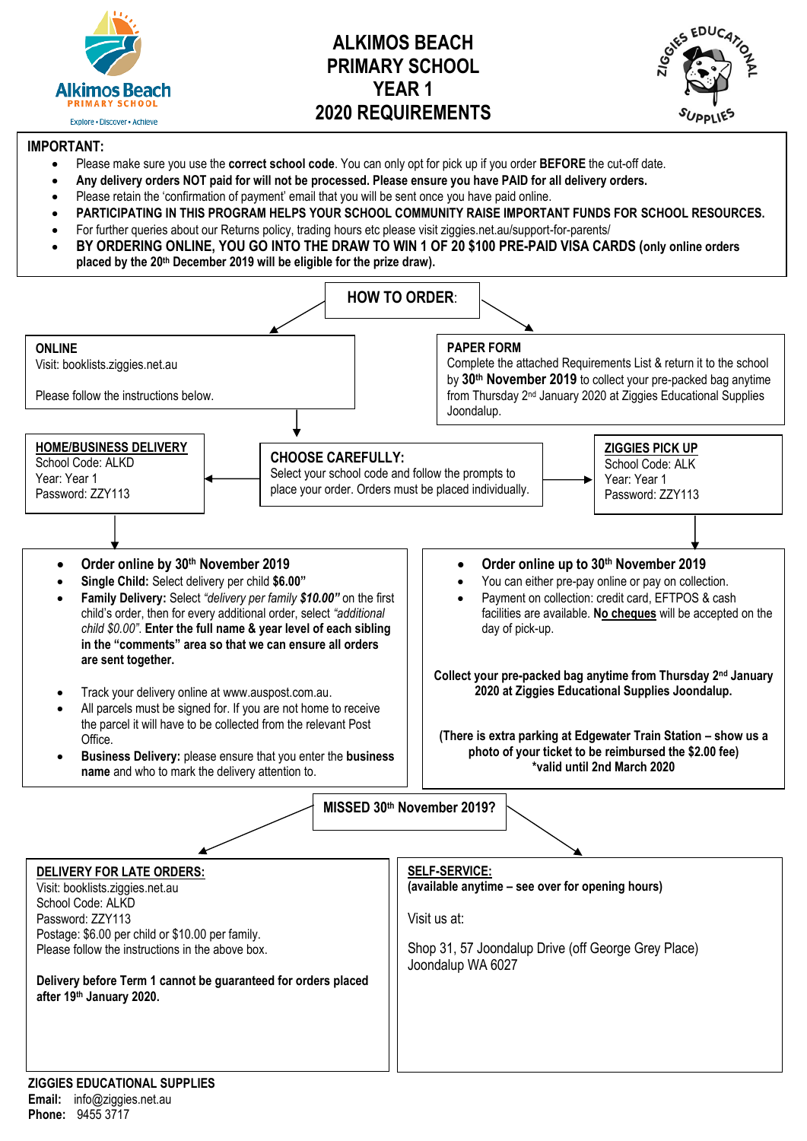

# **ALKIMOS BEACH PRIMARY SCHOOL YEAR 1 2020 REQUIREMENTS**



#### **IMPORTANT:**

- Please make sure you use the **correct school code**. You can only opt for pick up if you order **BEFORE** the cut-off date.
- **Any delivery orders NOT paid for will not be processed. Please ensure you have PAID for all delivery orders.**
- Please retain the 'confirmation of payment' email that you will be sent once you have paid online.
- **PARTICIPATING IN THIS PROGRAM HELPS YOUR SCHOOL COMMUNITY RAISE IMPORTANT FUNDS FOR SCHOOL RESOURCES.**
- For further queries about our Returns policy, trading hours etc please visit ziggies.net.au/support-for-parents/
- **BY ORDERING ONLINE, YOU GO INTO THE DRAW TO WIN 1 OF 20 \$100 PRE-PAID VISA CARDS (only online orders placed by the 20th December 2019 will be eligible for the prize draw).**

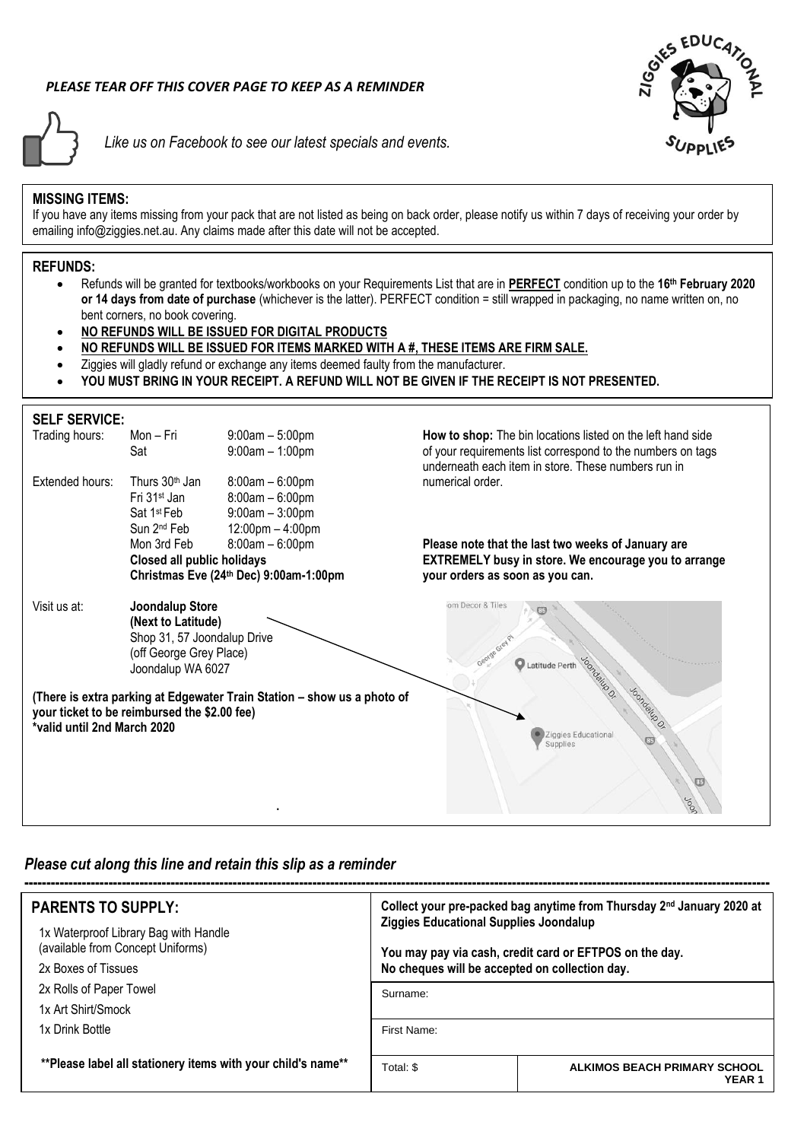# *PLEASE TEAR OFF THIS COVER PAGE TO KEEP AS A REMINDER*



*Like us on Facebook to see our latest specials and events.*



### **MISSING ITEMS:**

If you have any items missing from your pack that are not listed as being on back order, please notify us within 7 days of receiving your order by emailing info@ziggies.net.au. Any claims made after this date will not be accepted.

#### **REFUNDS:**

- Refunds will be granted for textbooks/workbooks on your Requirements List that are in **PERFECT** condition up to the **16 th February 2020 or 14 days from date of purchase** (whichever is the latter). PERFECT condition = still wrapped in packaging, no name written on, no bent corners, no book covering.
- **NO REFUNDS WILL BE ISSUED FOR DIGITAL PRODUCTS**
- **NO REFUNDS WILL BE ISSUED FOR ITEMS MARKED WITH A #, THESE ITEMS ARE FIRM SALE.**
- Ziggies will gladly refund or exchange any items deemed faulty from the manufacturer.
- **YOU MUST BRING IN YOUR RECEIPT. A REFUND WILL NOT BE GIVEN IF THE RECEIPT IS NOT PRESENTED.**

## **SELF SERVICE:**

| Trading hours:                                                       | Mon-Fri<br>Sat                               | $9:00am - 5:00pm$<br>$9:00am - 1:00pm$                                  | How to shop: The bin locations listed on the left hand side<br>of your requirements list correspond to the numbers on tags |
|----------------------------------------------------------------------|----------------------------------------------|-------------------------------------------------------------------------|----------------------------------------------------------------------------------------------------------------------------|
|                                                                      |                                              |                                                                         | underneath each item in store. These numbers run in                                                                        |
| Extended hours:                                                      | Thurs 30 <sup>th</sup> Jan                   | $8:00am - 6:00pm$                                                       | numerical order.                                                                                                           |
|                                                                      | Fri 31 <sup>st</sup> Jan                     | $8:00am - 6:00pm$                                                       |                                                                                                                            |
|                                                                      | Sat 1 <sup>st</sup> Feb                      | $9:00am - 3:00pm$                                                       |                                                                                                                            |
|                                                                      | Sun 2 <sup>nd</sup> Feb<br>Mon 3rd Feb       | $12:00 \text{pm} - 4:00 \text{pm}$<br>$8:00am - 6:00pm$                 |                                                                                                                            |
|                                                                      |                                              |                                                                         | Please note that the last two weeks of January are<br><b>EXTREMELY busy in store. We encourage you to arrange</b>          |
| Closed all public holidays<br>Christmas Eve (24th Dec) 9:00am-1:00pm |                                              |                                                                         | your orders as soon as you can.                                                                                            |
|                                                                      |                                              |                                                                         |                                                                                                                            |
| Visit us at:                                                         | <b>Joondalup Store</b>                       |                                                                         | om Decor & Tiles                                                                                                           |
|                                                                      | (Next to Latitude)                           |                                                                         |                                                                                                                            |
|                                                                      | Shop 31, 57 Joondalup Drive                  |                                                                         |                                                                                                                            |
|                                                                      | (off George Grey Place)                      |                                                                         | Latitude Perth                                                                                                             |
|                                                                      | Joondalup WA 6027                            |                                                                         | <b>Loondalup O.</b>                                                                                                        |
|                                                                      |                                              | (There is extra parking at Edgewater Train Station - show us a photo of |                                                                                                                            |
|                                                                      | your ticket to be reimbursed the \$2.00 fee) |                                                                         | Joondalup Or                                                                                                               |
| *valid until 2nd March 2020                                          |                                              |                                                                         | Ziggies Educational                                                                                                        |
|                                                                      |                                              |                                                                         | Supplies                                                                                                                   |
|                                                                      |                                              |                                                                         |                                                                                                                            |
|                                                                      |                                              |                                                                         |                                                                                                                            |
|                                                                      |                                              |                                                                         |                                                                                                                            |
|                                                                      |                                              |                                                                         |                                                                                                                            |

# *Please cut along this line and retain this slip as a reminder*

| <b>PARENTS TO SUPPLY:</b>                                                  | Collect your pre-packed bag anytime from Thursday 2 <sup>nd</sup> January 2020 at<br>Ziggies Educational Supplies Joondalup<br>You may pay via cash, credit card or EFTPOS on the day.<br>No cheques will be accepted on collection day. |                                                   |  |  |  |
|----------------------------------------------------------------------------|------------------------------------------------------------------------------------------------------------------------------------------------------------------------------------------------------------------------------------------|---------------------------------------------------|--|--|--|
| 1x Waterproof Library Bag with Handle<br>(available from Concept Uniforms) |                                                                                                                                                                                                                                          |                                                   |  |  |  |
| 2x Boxes of Tissues                                                        |                                                                                                                                                                                                                                          |                                                   |  |  |  |
| 2x Rolls of Paper Towel                                                    | Surname:                                                                                                                                                                                                                                 |                                                   |  |  |  |
| 1x Art Shirt/Smock                                                         |                                                                                                                                                                                                                                          |                                                   |  |  |  |
| 1x Drink Bottle                                                            | First Name:                                                                                                                                                                                                                              |                                                   |  |  |  |
|                                                                            |                                                                                                                                                                                                                                          |                                                   |  |  |  |
| **Please label all stationery items with your child's name**               | Total: \$                                                                                                                                                                                                                                | ALKIMOS BEACH PRIMARY SCHOOL<br>YEAR <sub>1</sub> |  |  |  |